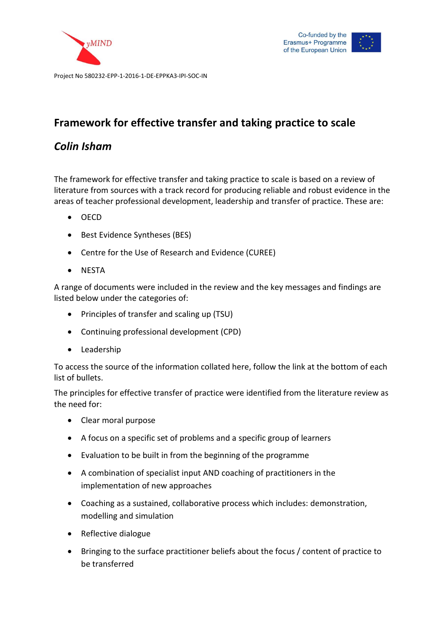





### *Colin Isham*

The framework for effective transfer and taking practice to scale is based on a review of literature from sources with a track record for producing reliable and robust evidence in the areas of teacher professional development, leadership and transfer of practice. These are:

- OECD
- Best Evidence Syntheses (BES)
- Centre for the Use of Research and Evidence (CUREE)
- NESTA

A range of documents were included in the review and the key messages and findings are listed below under the categories of:

- Principles of transfer and scaling up (TSU)
- Continuing professional development (CPD)
- Leadership

To access the source of the information collated here, follow the link at the bottom of each list of bullets.

The principles for effective transfer of practice were identified from the literature review as the need for:

- Clear moral purpose
- A focus on a specific set of problems and a specific group of learners
- Evaluation to be built in from the beginning of the programme
- A combination of specialist input AND coaching of practitioners in the implementation of new approaches
- Coaching as a sustained, collaborative process which includes: demonstration, modelling and simulation
- Reflective dialogue
- Bringing to the surface practitioner beliefs about the focus / content of practice to be transferred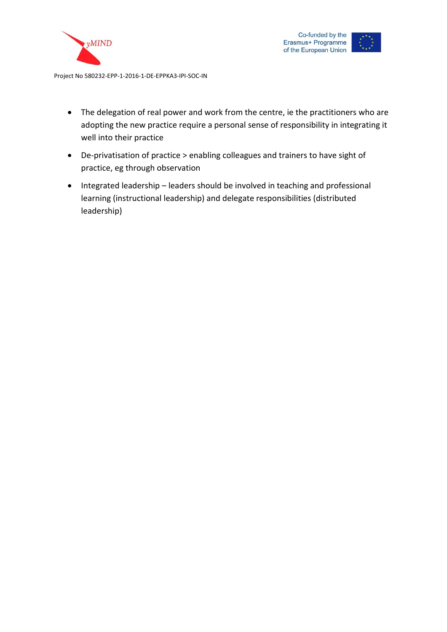



- The delegation of real power and work from the centre, ie the practitioners who are adopting the new practice require a personal sense of responsibility in integrating it well into their practice
- De-privatisation of practice > enabling colleagues and trainers to have sight of practice, eg through observation
- Integrated leadership leaders should be involved in teaching and professional learning (instructional leadership) and delegate responsibilities (distributed leadership)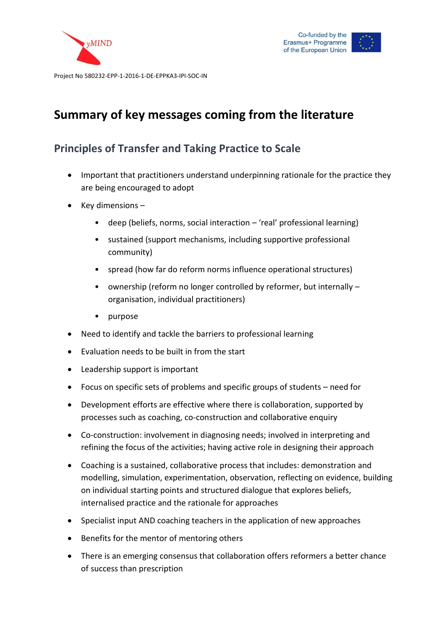



## **Summary of key messages coming from the literature**

### **Principles of Transfer and Taking Practice to Scale**

- Important that practitioners understand underpinning rationale for the practice they are being encouraged to adopt
- Key dimensions
	- deep (beliefs, norms, social interaction 'real' professional learning)
	- sustained (support mechanisms, including supportive professional community)
	- spread (how far do reform norms influence operational structures)
	- ownership (reform no longer controlled by reformer, but internally organisation, individual practitioners)
	- purpose
- Need to identify and tackle the barriers to professional learning
- Evaluation needs to be built in from the start
- Leadership support is important
- Focus on specific sets of problems and specific groups of students need for
- Development efforts are effective where there is collaboration, supported by processes such as coaching, co-construction and collaborative enquiry
- Co-construction: involvement in diagnosing needs; involved in interpreting and refining the focus of the activities; having active role in designing their approach
- Coaching is a sustained, collaborative process that includes: demonstration and modelling, simulation, experimentation, observation, reflecting on evidence, building on individual starting points and structured dialogue that explores beliefs, internalised practice and the rationale for approaches
- Specialist input AND coaching teachers in the application of new approaches
- Benefits for the mentor of mentoring others
- There is an emerging consensus that collaboration offers reformers a better chance of success than prescription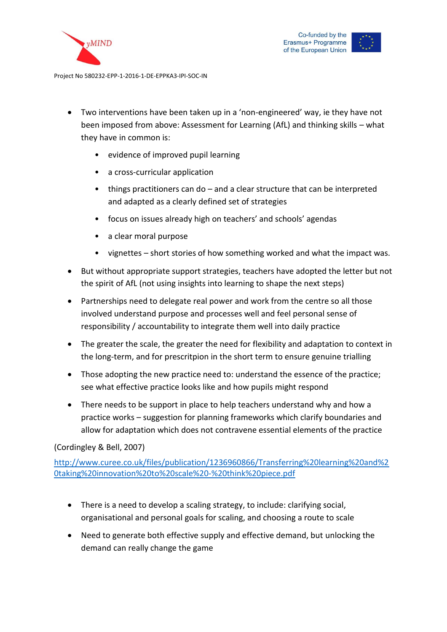



- Two interventions have been taken up in a 'non-engineered' way, ie they have not been imposed from above: Assessment for Learning (AfL) and thinking skills – what they have in common is:
	- evidence of improved pupil learning
	- a cross-curricular application
	- things practitioners can do and a clear structure that can be interpreted and adapted as a clearly defined set of strategies
	- focus on issues already high on teachers' and schools' agendas
	- a clear moral purpose
	- vignettes short stories of how something worked and what the impact was.
- But without appropriate support strategies, teachers have adopted the letter but not the spirit of AfL (not using insights into learning to shape the next steps)
- Partnerships need to delegate real power and work from the centre so all those involved understand purpose and processes well and feel personal sense of responsibility / accountability to integrate them well into daily practice
- The greater the scale, the greater the need for flexibility and adaptation to context in the long-term, and for prescritpion in the short term to ensure genuine trialling
- Those adopting the new practice need to: understand the essence of the practice; see what effective practice looks like and how pupils might respond
- There needs to be support in place to help teachers understand why and how a practice works – suggestion for planning frameworks which clarify boundaries and allow for adaptation which does not contravene essential elements of the practice

#### (Cordingley & Bell, 2007)

[http://www.curee.co.uk/files/publication/1236960866/Transferring%20learning%20and%2](http://www.curee.co.uk/files/publication/1236960866/Transferring%20learning%20and%20taking%20innovation%20to%20scale%20-%20think%20piece.pdf) [0taking%20innovation%20to%20scale%20-%20think%20piece.pdf](http://www.curee.co.uk/files/publication/1236960866/Transferring%20learning%20and%20taking%20innovation%20to%20scale%20-%20think%20piece.pdf)

- There is a need to develop a scaling strategy, to include: clarifying social, organisational and personal goals for scaling, and choosing a route to scale
- Need to generate both effective supply and effective demand, but unlocking the demand can really change the game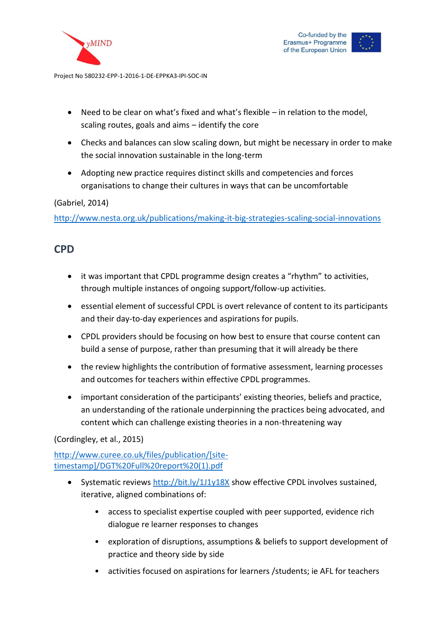



- Need to be clear on what's fixed and what's flexible in relation to the model, scaling routes, goals and aims – identify the core
- Checks and balances can slow scaling down, but might be necessary in order to make the social innovation sustainable in the long-term
- Adopting new practice requires distinct skills and competencies and forces organisations to change their cultures in ways that can be uncomfortable

#### (Gabriel, 2014)

<http://www.nesta.org.uk/publications/making-it-big-strategies-scaling-social-innovations>

### **CPD**

- it was important that CPDL programme design creates a "rhythm" to activities, through multiple instances of ongoing support/follow-up activities.
- essential element of successful CPDL is overt relevance of content to its participants and their day-to-day experiences and aspirations for pupils.
- CPDL providers should be focusing on how best to ensure that course content can build a sense of purpose, rather than presuming that it will already be there
- the review highlights the contribution of formative assessment, learning processes and outcomes for teachers within effective CPDL programmes.
- important consideration of the participants' existing theories, beliefs and practice, an understanding of the rationale underpinning the practices being advocated, and content which can challenge existing theories in a non-threatening way

(Cordingley, et al., 2015)

[http://www.curee.co.uk/files/publication/\[site](http://www.curee.co.uk/files/publication/%5bsite-timestamp%5d/DGT%20Full%20report%20(1).pdf)[timestamp\]/DGT%20Full%20report%20\(1\).pdf](http://www.curee.co.uk/files/publication/%5bsite-timestamp%5d/DGT%20Full%20report%20(1).pdf)

- Systematic reviews<http://bit.ly/1J1y18X> show effective CPDL involves sustained, iterative, aligned combinations of:
	- access to specialist expertise coupled with peer supported, evidence rich dialogue re learner responses to changes
	- exploration of disruptions, assumptions & beliefs to support development of practice and theory side by side
	- activities focused on aspirations for learners /students; ie AFL for teachers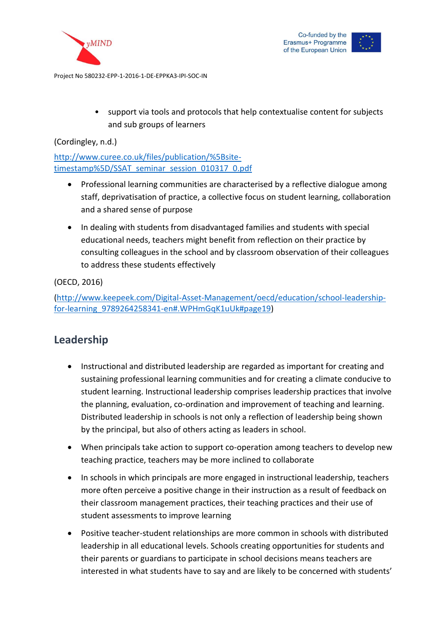



• support via tools and protocols that help contextualise content for subjects and sub groups of learners

(Cordingley, n.d.)

[http://www.curee.co.uk/files/publication/%5Bsite](http://www.curee.co.uk/files/publication/%5Bsite-timestamp%5D/SSAT_seminar_session_010317_0.pdf)[timestamp%5D/SSAT\\_seminar\\_session\\_010317\\_0.pdf](http://www.curee.co.uk/files/publication/%5Bsite-timestamp%5D/SSAT_seminar_session_010317_0.pdf)

- Professional learning communities are characterised by a reflective dialogue among staff, deprivatisation of practice, a collective focus on student learning, collaboration and a shared sense of purpose
- In dealing with students from disadvantaged families and students with special educational needs, teachers might benefit from reflection on their practice by consulting colleagues in the school and by classroom observation of their colleagues to address these students effectively

(OECD, 2016)

[\(http://www.keepeek.com/Digital-Asset-Management/oecd/education/school-leadership](http://www.keepeek.com/Digital-Asset-Management/oecd/education/school-leadership-for-learning_9789264258341-en#.WPHmGqK1uUk)[for-learning\\_9789264258341-en#.WPHmGqK1uUk#page19\)](http://www.keepeek.com/Digital-Asset-Management/oecd/education/school-leadership-for-learning_9789264258341-en#.WPHmGqK1uUk)

# **Leadership**

- Instructional and distributed leadership are regarded as important for creating and sustaining professional learning communities and for creating a climate conducive to student learning. Instructional leadership comprises leadership practices that involve the planning, evaluation, co-ordination and improvement of teaching and learning. Distributed leadership in schools is not only a reflection of leadership being shown by the principal, but also of others acting as leaders in school.
- When principals take action to support co-operation among teachers to develop new teaching practice, teachers may be more inclined to collaborate
- In schools in which principals are more engaged in instructional leadership, teachers more often perceive a positive change in their instruction as a result of feedback on their classroom management practices, their teaching practices and their use of student assessments to improve learning
- Positive teacher-student relationships are more common in schools with distributed leadership in all educational levels. Schools creating opportunities for students and their parents or guardians to participate in school decisions means teachers are interested in what students have to say and are likely to be concerned with students'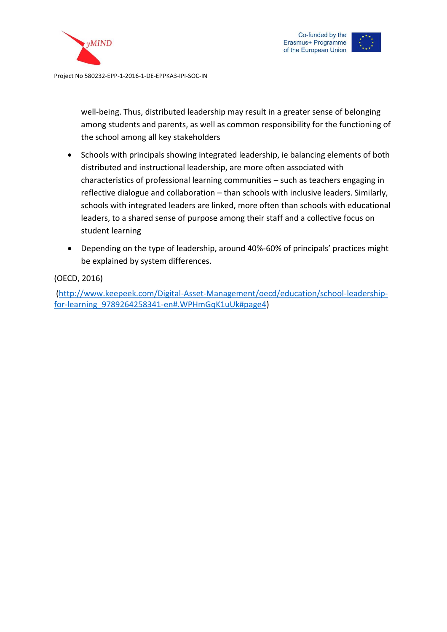



well-being. Thus, distributed leadership may result in a greater sense of belonging among students and parents, as well as common responsibility for the functioning of the school among all key stakeholders

- Schools with principals showing integrated leadership, ie balancing elements of both distributed and instructional leadership, are more often associated with characteristics of professional learning communities – such as teachers engaging in reflective dialogue and collaboration – than schools with inclusive leaders. Similarly, schools with integrated leaders are linked, more often than schools with educational leaders, to a shared sense of purpose among their staff and a collective focus on student learning
- Depending on the type of leadership, around 40%-60% of principals' practices might be explained by system differences.

(OECD, 2016)

[\(http://www.keepeek.com/Digital-Asset-Management/oecd/education/school-leadership](http://www.keepeek.com/Digital-Asset-Management/oecd/education/school-leadership-for-learning_9789264258341-en#.WPHmGqK1uUk)[for-learning\\_9789264258341-en#.WPHmGqK1uUk#page4\)](http://www.keepeek.com/Digital-Asset-Management/oecd/education/school-leadership-for-learning_9789264258341-en#.WPHmGqK1uUk)